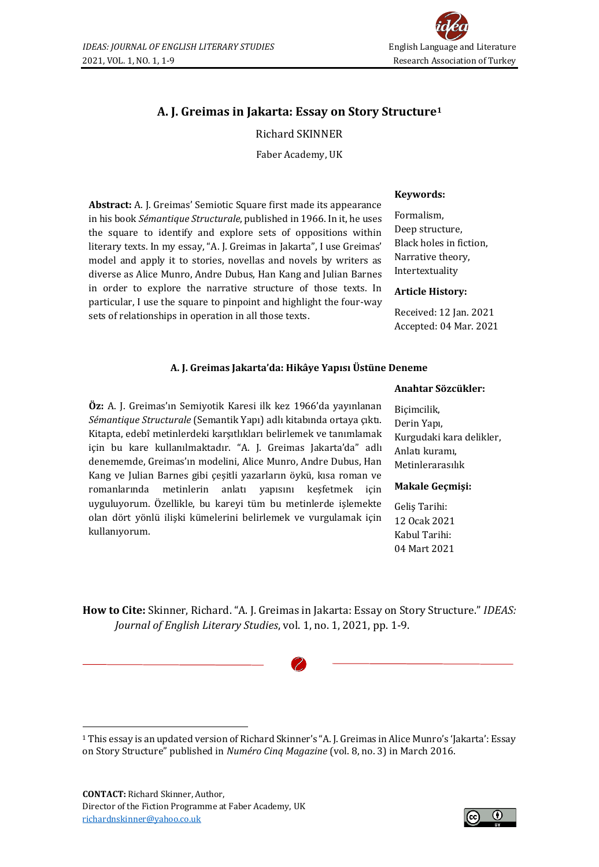

# **A. J. Greimas in Jakarta: Essay on Story Structure<sup>1</sup>**

## Richard SKINNER

Faber Academy, UK

**Abstract:** A. J. Greimas' Semiotic Square first made its appearance in his book *Sémantique Structurale*, published in 1966. In it, he uses the square to identify and explore sets of oppositions within literary texts. In my essay, "A. J. Greimas in Jakarta", I use Greimas' model and apply it to stories, novellas and novels by writers as diverse as Alice Munro, Andre Dubus, Han Kang and Julian Barnes in order to explore the narrative structure of those texts. In particular, I use the square to pinpoint and highlight the four-way sets of relationships in operation in all those texts.

#### **Keywords:**

Formalism, Deep structure, Black holes in fiction, Narrative theory, Intertextuality

## **Article History:**

Received: 12 Jan. 2021 Accepted: 04 Mar. 2021

## **A. J. Greimas Jakarta'da: Hikâye Yapısı Üstüne Deneme**

## **Anahtar Sözcükler:**

**Öz:** A. J. Greimas'ın Semiyotik Karesi ilk kez 1966'da yayınlanan *Sémantique Structurale* (Semantik Yapı) adlı kitabında ortaya çıktı. Kitapta, edebî metinlerdeki karşıtlıkları belirlemek ve tanımlamak için bu kare kullanılmaktadır. "A. J. Greimas Jakarta'da" adlı denememde, Greimas'ın modelini, Alice Munro, Andre Dubus, Han Kang ve Julian Barnes gibi çeşitli yazarların öykü, kısa roman ve romanlarında metinlerin anlatı yapısını keşfetmek için uyguluyorum. Özellikle, bu kareyi tüm bu metinlerde işlemekte olan dört yönlü ilişki kümelerini belirlemek ve vurgulamak için kullanıyorum.

Biçimcilik, Derin Yapı, Kurgudaki kara delikler, Anlatı kuramı, Metinlerarasılık

#### **Makale Geçmişi:**

Geliş Tarihi: 12 Ocak 2021 Kabul Tarihi: 04 Mart 2021

**How to Cite:** Skinner, Richard. "A. J. Greimas in Jakarta: Essay on Story Structure." *IDEAS: Journal of English Literary Studies*, vol. 1, no. 1, 2021, pp. 1-9.

<sup>1</sup> This essay is an updated version of Richard Skinner's "A. J. Greimas in Alice Munro's 'Jakarta': Essay on Story Structure" published in *Numéro Cinq Magazine* (vol. 8, no. 3) in March 2016.

**CONTACT:** Richard Skinner, Author, Director of the Fiction Programme at Faber Academy, UK [richardnskinner@yahoo.co.uk](mailto:richardnskinner@yahoo.co.uk)

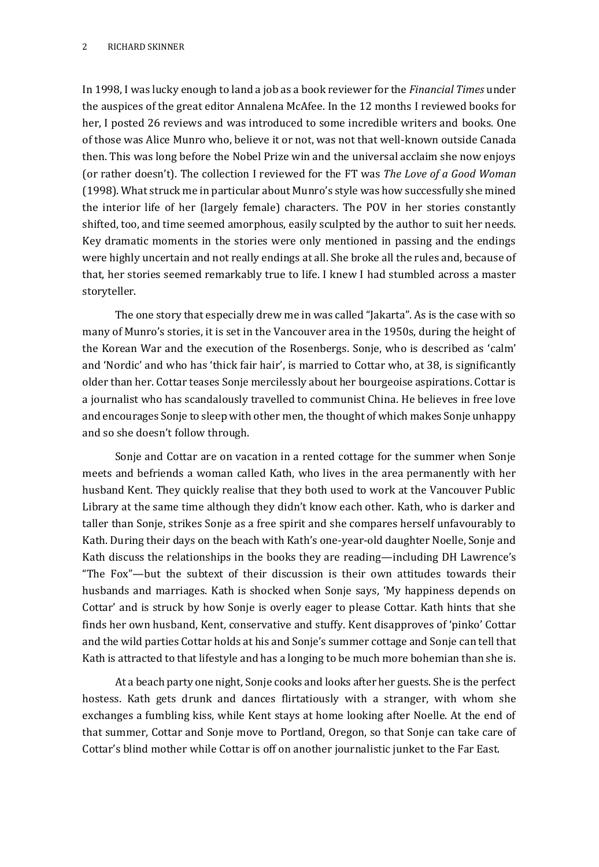In 1998, I was lucky enough to land a job as a book reviewer for the *Financial Times* under the auspices of the great editor Annalena McAfee. In the 12 months I reviewed books for her, I posted 26 reviews and was introduced to some incredible writers and books. One of those was Alice Munro who, believe it or not, was not that well-known outside Canada then. This was long before the Nobel Prize win and the universal acclaim she now enjoys (or rather doesn't). The collection I reviewed for the FT was *The Love of a Good Woman* (1998). What struck me in particular about Munro's style was how successfully she mined the interior life of her (largely female) characters. The POV in her stories constantly shifted, too, and time seemed amorphous, easily sculpted by the author to suit her needs. Key dramatic moments in the stories were only mentioned in passing and the endings were highly uncertain and not really endings at all. She broke all the rules and, because of that, her stories seemed remarkably true to life. I knew I had stumbled across a master storyteller.

The one story that especially drew me in was called "Jakarta". As is the case with so many of Munro's stories, it is set in the Vancouver area in the 1950s, during the height of the Korean War and the execution of the Rosenbergs. Sonje, who is described as 'calm' and 'Nordic' and who has 'thick fair hair', is married to Cottar who, at 38, is significantly older than her. Cottar teases Sonje mercilessly about her bourgeoise aspirations. Cottar is a journalist who has scandalously travelled to communist China. He believes in free love and encourages Sonje to sleep with other men, the thought of which makes Sonje unhappy and so she doesn't follow through.

Sonje and Cottar are on vacation in a rented cottage for the summer when Sonje meets and befriends a woman called Kath, who lives in the area permanently with her husband Kent. They quickly realise that they both used to work at the Vancouver Public Library at the same time although they didn't know each other. Kath, who is darker and taller than Sonje, strikes Sonje as a free spirit and she compares herself unfavourably to Kath. During their days on the beach with Kath's one-year-old daughter Noelle, Sonje and Kath discuss the relationships in the books they are reading—including DH Lawrence's "The Fox"—but the subtext of their discussion is their own attitudes towards their husbands and marriages. Kath is shocked when Sonje says, 'My happiness depends on Cottar' and is struck by how Sonje is overly eager to please Cottar. Kath hints that she finds her own husband, Kent, conservative and stuffy. Kent disapproves of 'pinko' Cottar and the wild parties Cottar holds at his and Sonje's summer cottage and Sonje can tell that Kath is attracted to that lifestyle and has a longing to be much more bohemian than she is.

At a beach party one night, Sonje cooks and looks after her guests. She is the perfect hostess. Kath gets drunk and dances flirtatiously with a stranger, with whom she exchanges a fumbling kiss, while Kent stays at home looking after Noelle. At the end of that summer, Cottar and Sonje move to Portland, Oregon, so that Sonje can take care of Cottar's blind mother while Cottar is off on another journalistic junket to the Far East.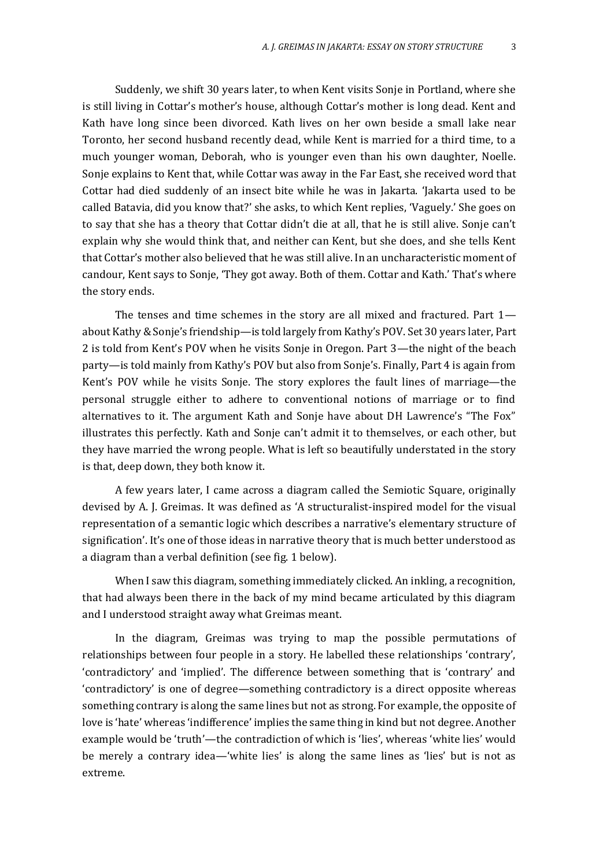Suddenly, we shift 30 years later, to when Kent visits Sonje in Portland, where she is still living in Cottar's mother's house, although Cottar's mother is long dead. Kent and Kath have long since been divorced. Kath lives on her own beside a small lake near Toronto, her second husband recently dead, while Kent is married for a third time, to a much younger woman, Deborah, who is younger even than his own daughter, Noelle. Sonje explains to Kent that, while Cottar was away in the Far East, she received word that Cottar had died suddenly of an insect bite while he was in Jakarta. 'Jakarta used to be called Batavia, did you know that?' she asks, to which Kent replies, 'Vaguely.' She goes on to say that she has a theory that Cottar didn't die at all, that he is still alive. Sonje can't explain why she would think that, and neither can Kent, but she does, and she tells Kent that Cottar's mother also believed that he was still alive. In an uncharacteristic moment of candour, Kent says to Sonje, 'They got away. Both of them. Cottar and Kath.' That's where the story ends.

The tenses and time schemes in the story are all mixed and fractured. Part 1 about Kathy & Sonje's friendship—is told largely from Kathy's POV. Set 30 years later, Part 2 is told from Kent's POV when he visits Sonje in Oregon. Part 3—the night of the beach party—is told mainly from Kathy's POV but also from Sonje's. Finally, Part 4 is again from Kent's POV while he visits Sonje. The story explores the fault lines of marriage—the personal struggle either to adhere to conventional notions of marriage or to find alternatives to it. The argument Kath and Sonje have about DH Lawrence's "The Fox" illustrates this perfectly. Kath and Sonje can't admit it to themselves, or each other, but they have married the wrong people. What is left so beautifully understated in the story is that, deep down, they both know it.

A few years later, I came across a diagram called the Semiotic Square, originally devised by A. J. Greimas. It was defined as 'A structuralist-inspired model for the visual representation of a semantic logic which describes a narrative's elementary structure of signification'. It's one of those ideas in narrative theory that is much better understood as a diagram than a verbal definition (see fig. 1 below).

When I saw this diagram, something immediately clicked. An inkling, a recognition, that had always been there in the back of my mind became articulated by this diagram and I understood straight away what Greimas meant.

In the diagram, Greimas was trying to map the possible permutations of relationships between four people in a story. He labelled these relationships 'contrary', 'contradictory' and 'implied'. The difference between something that is 'contrary' and 'contradictory' is one of degree—something contradictory is a direct opposite whereas something contrary is along the same lines but not as strong. For example, the opposite of love is 'hate' whereas 'indifference' implies the same thing in kind but not degree. Another example would be 'truth'—the contradiction of which is 'lies', whereas 'white lies' would be merely a contrary idea—'white lies' is along the same lines as 'lies' but is not as extreme.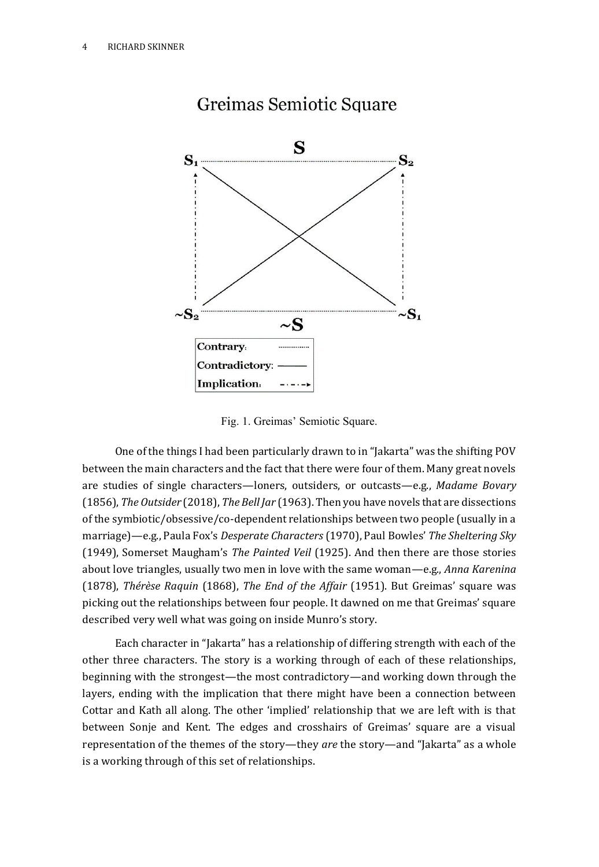

# Greimas Semiotic Square

Fig. 1. Greimas' Semiotic Square.

One of the things I had been particularly drawn to in "Jakarta" was the shifting POV between the main characters and the fact that there were four of them. Many great novels are studies of single characters—loners, outsiders, or outcasts—e.g., *Madame Bovary* (1856), *The Outsider* (2018), *The Bell Jar* (1963). Then you have novels that are dissections of the symbiotic/obsessive/co-dependent relationships between two people (usually in a marriage)—e.g., Paula Fox's *Desperate Characters* (1970), Paul Bowles' *The Sheltering Sky* (1949), Somerset Maugham's *The Painted Veil* (1925). And then there are those stories about love triangles, usually two men in love with the same woman—e.g., *Anna Karenina* (1878), *Thérèse Raquin* (1868), *The End of the Affair* (1951). But Greimas' square was picking out the relationships between four people. It dawned on me that Greimas' square described very well what was going on inside Munro's story.

Each character in "Jakarta" has a relationship of differing strength with each of the other three characters. The story is a working through of each of these relationships, beginning with the strongest—the most contradictory—and working down through the layers, ending with the implication that there might have been a connection between Cottar and Kath all along. The other 'implied' relationship that we are left with is that between Sonje and Kent. The edges and crosshairs of Greimas' square are a visual representation of the themes of the story—they *are* the story—and "Jakarta" as a whole is a working through of this set of relationships.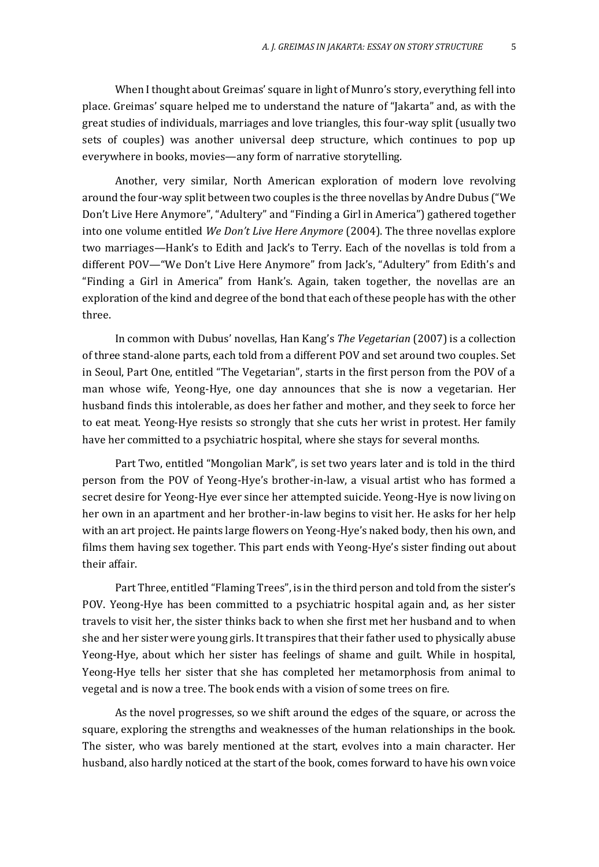When I thought about Greimas' square in light of Munro's story, everything fell into place. Greimas' square helped me to understand the nature of "Jakarta" and, as with the great studies of individuals, marriages and love triangles, this four-way split (usually two sets of couples) was another universal deep structure, which continues to pop up everywhere in books, movies—any form of narrative storytelling.

Another, very similar, North American exploration of modern love revolving around the four-way split between two couples is the three novellas by Andre Dubus ("We Don't Live Here Anymore", "Adultery" and "Finding a Girl in America") gathered together into one volume entitled *We Don't Live Here Anymore* (2004). The three novellas explore two marriages—Hank's to Edith and Jack's to Terry. Each of the novellas is told from a different POV—"We Don't Live Here Anymore" from Jack's, "Adultery" from Edith's and "Finding a Girl in America" from Hank's. Again, taken together, the novellas are an exploration of the kind and degree of the bond that each of these people has with the other three.

In common with Dubus' novellas, Han Kang's *The Vegetarian* (2007) is a collection of three stand-alone parts, each told from a different POV and set around two couples. Set in Seoul, Part One, entitled "The Vegetarian", starts in the first person from the POV of a man whose wife, Yeong-Hye, one day announces that she is now a vegetarian. Her husband finds this intolerable, as does her father and mother, and they seek to force her to eat meat. Yeong-Hye resists so strongly that she cuts her wrist in protest. Her family have her committed to a psychiatric hospital, where she stays for several months.

Part Two, entitled "Mongolian Mark", is set two years later and is told in the third person from the POV of Yeong-Hye's brother-in-law, a visual artist who has formed a secret desire for Yeong-Hye ever since her attempted suicide. Yeong-Hye is now living on her own in an apartment and her brother-in-law begins to visit her. He asks for her help with an art project. He paints large flowers on Yeong-Hye's naked body, then his own, and films them having sex together. This part ends with Yeong-Hye's sister finding out about their affair.

Part Three, entitled "Flaming Trees", is in the third person and told from the sister's POV. Yeong-Hye has been committed to a psychiatric hospital again and, as her sister travels to visit her, the sister thinks back to when she first met her husband and to when she and her sister were young girls. It transpires that their father used to physically abuse Yeong-Hye, about which her sister has feelings of shame and guilt. While in hospital, Yeong-Hye tells her sister that she has completed her metamorphosis from animal to vegetal and is now a tree. The book ends with a vision of some trees on fire.

As the novel progresses, so we shift around the edges of the square, or across the square, exploring the strengths and weaknesses of the human relationships in the book. The sister, who was barely mentioned at the start, evolves into a main character. Her husband, also hardly noticed at the start of the book, comes forward to have his own voice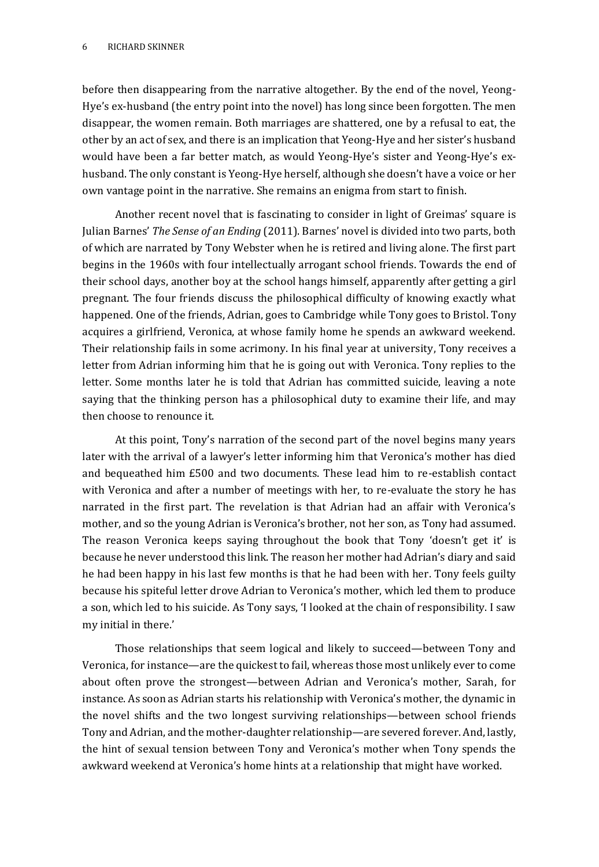before then disappearing from the narrative altogether. By the end of the novel, Yeong-Hye's ex-husband (the entry point into the novel) has long since been forgotten. The men disappear, the women remain. Both marriages are shattered, one by a refusal to eat, the other by an act of sex, and there is an implication that Yeong-Hye and her sister's husband would have been a far better match, as would Yeong-Hye's sister and Yeong-Hye's exhusband. The only constant is Yeong-Hye herself, although she doesn't have a voice or her own vantage point in the narrative. She remains an enigma from start to finish.

Another recent novel that is fascinating to consider in light of Greimas' square is Julian Barnes' *The Sense of an Ending* (2011). Barnes' novel is divided into two parts, both of which are narrated by Tony Webster when he is retired and living alone. The first part begins in the 1960s with four intellectually arrogant school friends. Towards the end of their school days, another boy at the school hangs himself, apparently after getting a girl pregnant. The four friends discuss the philosophical difficulty of knowing exactly what happened. One of the friends, Adrian, goes to Cambridge while Tony goes to Bristol. Tony acquires a girlfriend, Veronica, at whose family home he spends an awkward weekend. Their relationship fails in some acrimony. In his final year at university, Tony receives a letter from Adrian informing him that he is going out with Veronica. Tony replies to the letter. Some months later he is told that Adrian has committed suicide, leaving a note saying that the thinking person has a philosophical duty to examine their life, and may then choose to renounce it.

At this point, Tony's narration of the second part of the novel begins many years later with the arrival of a lawyer's letter informing him that Veronica's mother has died and bequeathed him £500 and two documents. These lead him to re-establish contact with Veronica and after a number of meetings with her, to re-evaluate the story he has narrated in the first part. The revelation is that Adrian had an affair with Veronica's mother, and so the young Adrian is Veronica's brother, not her son, as Tony had assumed. The reason Veronica keeps saying throughout the book that Tony 'doesn't get it' is because he never understood this link. The reason her mother had Adrian's diary and said he had been happy in his last few months is that he had been with her. Tony feels guilty because his spiteful letter drove Adrian to Veronica's mother, which led them to produce a son, which led to his suicide. As Tony says, 'I looked at the chain of responsibility. I saw my initial in there.'

Those relationships that seem logical and likely to succeed—between Tony and Veronica, for instance—are the quickest to fail, whereas those most unlikely ever to come about often prove the strongest—between Adrian and Veronica's mother, Sarah, for instance. As soon as Adrian starts his relationship with Veronica's mother, the dynamic in the novel shifts and the two longest surviving relationships—between school friends Tony and Adrian, and the mother-daughter relationship—are severed forever. And, lastly, the hint of sexual tension between Tony and Veronica's mother when Tony spends the awkward weekend at Veronica's home hints at a relationship that might have worked.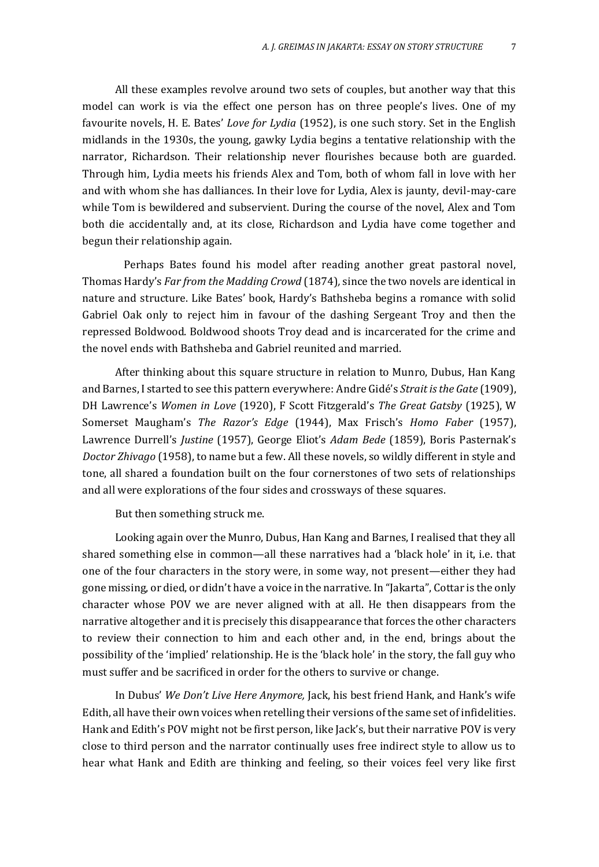All these examples revolve around two sets of couples, but another way that this model can work is via the effect one person has on three people's lives. One of my favourite novels, H. E. Bates' *Love for Lydia* (1952), is one such story. Set in the English midlands in the 1930s, the young, gawky Lydia begins a tentative relationship with the narrator, Richardson. Their relationship never flourishes because both are guarded. Through him, Lydia meets his friends Alex and Tom, both of whom fall in love with her and with whom she has dalliances. In their love for Lydia, Alex is jaunty, devil-may-care while Tom is bewildered and subservient. During the course of the novel, Alex and Tom both die accidentally and, at its close, Richardson and Lydia have come together and begun their relationship again.

Perhaps Bates found his model after reading another great pastoral novel, Thomas Hardy's *Far from the Madding Crowd* (1874)*,* since the two novels are identical in nature and structure. Like Bates' book, Hardy's Bathsheba begins a romance with solid Gabriel Oak only to reject him in favour of the dashing Sergeant Troy and then the repressed Boldwood. Boldwood shoots Troy dead and is incarcerated for the crime and the novel ends with Bathsheba and Gabriel reunited and married.

After thinking about this square structure in relation to Munro, Dubus, Han Kang and Barnes, I started to see this pattern everywhere: Andre Gidé's *Strait is the Gate* (1909), DH Lawrence's *Women in Love* (1920), F Scott Fitzgerald's *The Great Gatsby* (1925), W Somerset Maugham's *The Razor's Edge* (1944), Max Frisch's *Homo Faber* (1957), Lawrence Durrell's *Justine* (1957), George Eliot's *Adam Bede* (1859), Boris Pasternak's *Doctor Zhivago* (1958), to name but a few. All these novels, so wildly different in style and tone, all shared a foundation built on the four cornerstones of two sets of relationships and all were explorations of the four sides and crossways of these squares.

But then something struck me.

Looking again over the Munro, Dubus, Han Kang and Barnes, I realised that they all shared something else in common—all these narratives had a 'black hole' in it, i.e. that one of the four characters in the story were, in some way, not present—either they had gone missing, or died, or didn't have a voice in the narrative. In "Jakarta", Cottar is the only character whose POV we are never aligned with at all. He then disappears from the narrative altogether and it is precisely this disappearance that forces the other characters to review their connection to him and each other and, in the end, brings about the possibility of the 'implied' relationship. He is the 'black hole' in the story, the fall guy who must suffer and be sacrificed in order for the others to survive or change.

In Dubus' *We Don't Live Here Anymore,* Jack, his best friend Hank, and Hank's wife Edith, all have their own voices when retelling their versions of the same set of infidelities. Hank and Edith's POV might not be first person, like Jack's, but their narrative POV is very close to third person and the narrator continually uses free indirect style to allow us to hear what Hank and Edith are thinking and feeling, so their voices feel very like first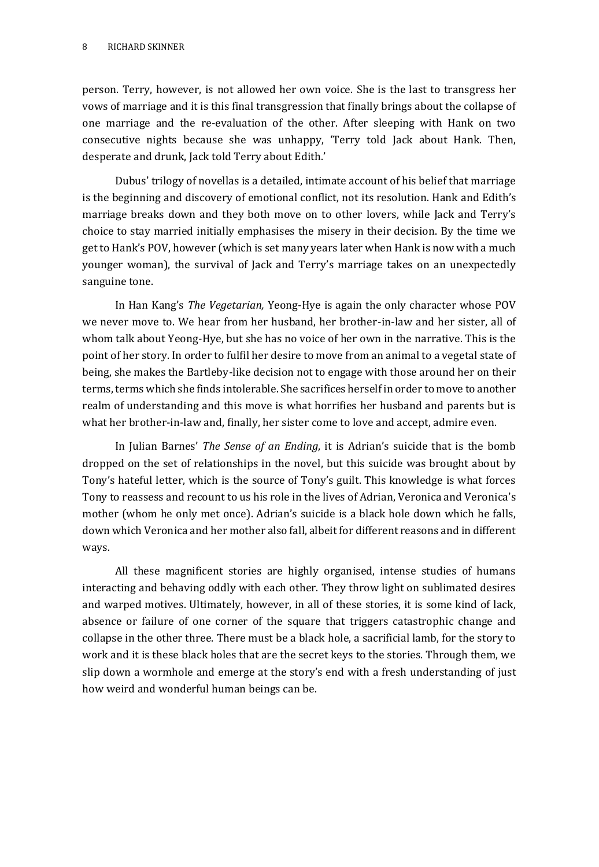person. Terry, however, is not allowed her own voice. She is the last to transgress her vows of marriage and it is this final transgression that finally brings about the collapse of one marriage and the re-evaluation of the other. After sleeping with Hank on two consecutive nights because she was unhappy, 'Terry told Jack about Hank. Then, desperate and drunk, Jack told Terry about Edith.'

Dubus' trilogy of novellas is a detailed, intimate account of his belief that marriage is the beginning and discovery of emotional conflict, not its resolution. Hank and Edith's marriage breaks down and they both move on to other lovers, while Jack and Terry's choice to stay married initially emphasises the misery in their decision. By the time we get to Hank's POV, however (which is set many years later when Hank is now with a much younger woman), the survival of Jack and Terry's marriage takes on an unexpectedly sanguine tone.

In Han Kang's *The Vegetarian,* Yeong-Hye is again the only character whose POV we never move to. We hear from her husband, her brother-in-law and her sister, all of whom talk about Yeong-Hye, but she has no voice of her own in the narrative. This is the point of her story. In order to fulfil her desire to move from an animal to a vegetal state of being, she makes the Bartleby-like decision not to engage with those around her on their terms, terms which she finds intolerable. She sacrifices herself in order to move to another realm of understanding and this move is what horrifies her husband and parents but is what her brother-in-law and, finally, her sister come to love and accept, admire even.

In Julian Barnes' *The Sense of an Ending*, it is Adrian's suicide that is the bomb dropped on the set of relationships in the novel, but this suicide was brought about by Tony's hateful letter, which is the source of Tony's guilt. This knowledge is what forces Tony to reassess and recount to us his role in the lives of Adrian, Veronica and Veronica's mother (whom he only met once). Adrian's suicide is a black hole down which he falls, down which Veronica and her mother also fall, albeit for different reasons and in different ways.

All these magnificent stories are highly organised, intense studies of humans interacting and behaving oddly with each other. They throw light on sublimated desires and warped motives. Ultimately, however, in all of these stories, it is some kind of lack, absence or failure of one corner of the square that triggers catastrophic change and collapse in the other three. There must be a black hole, a sacrificial lamb, for the story to work and it is these black holes that are the secret keys to the stories. Through them, we slip down a wormhole and emerge at the story's end with a fresh understanding of just how weird and wonderful human beings can be.